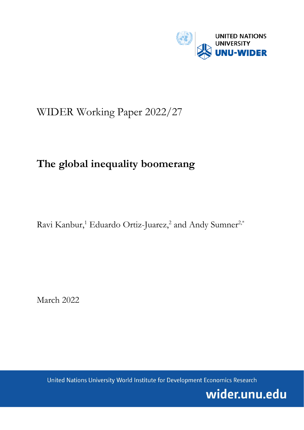

# WIDER Working Paper 2022/27

# **The global inequality boomerang**

Ravi Kanbur,<sup>1</sup> Eduardo Ortiz-Juarez,<sup>2</sup> and Andy Sumner<sup>2,\*</sup>

March 2022

United Nations University World Institute for Development Economics Research

wider.unu.edu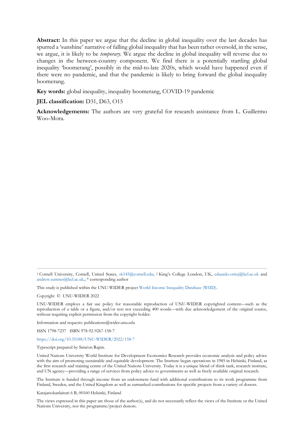**Abstract:** In this paper we argue that the decline in global inequality over the last decades has spurred a 'sunshine' narrative of falling global inequality that has been rather oversold, in the sense, we argue, it is likely to be *temporary*. We argue the decline in global inequality will reverse due to changes in the between-country component. We find there is a potentially startling global inequality 'boomerang', possibly in the mid-to-late 2020s, which would have happened even if there were no pandemic, and that the pandemic is likely to bring forward the global inequality boomerang.

**Key words:** global inequality, inequality boomerang, COVID-19 pandemic

# **JEL classification:** D31, D63, O15

**Acknowledgements:** The authors are very grateful for research assistance from L. Guillermo Woo-Mora.

<sup>1</sup> Cornell University, Cornell, United States, [sk145@cornell.edu;](mailto:sk145@cornell.edu) <sup>2</sup> King's College London, UK, [eduardo.ortizj@kcl.ac.uk](mailto:eduardo.ortizj@kcl.ac.uk) and [andrew.sumner@kcl.ac.uk.;](mailto:andrew.sumner@kcl.ac.uk) \* corresponding author

This study is published within the UNU-WIDER projec[t World Income Inequality Database \(WIID\).](https://www.wider.unu.edu/node/238021)

Copyright © UNU-WIDER 2022

UNU-WIDER employs a fair use policy for reasonable reproduction of UNU-WIDER copyrighted content—such as the reproduction of a table or a figure, and/or text not exceeding 400 words—with due acknowledgement of the original source, without requiring explicit permission from the copyright holder.

Information and requests: publications@wider.unu.edu

ISSN 1798-7237 ISBN 978-92-9267-158-7

<https://doi.org/10.35188/UNU-WIDER/2022/158-7>

Typescript prepared by Siméon Rapin.

United Nations University World Institute for Development Economics Research provides economic analysis and policy advice with the aim of promoting sustainable and equitable development. The Institute began operations in 1985 in Helsinki, Finland, as the first research and training centre of the United Nations University. Today it is a unique blend of think tank, research institute, and UN agency—providing a range of services from policy advice to governments as well as freely available original research.

The Institute is funded through income from an endowment fund with additional contributions to its work programme from Finland, Sweden, and the United Kingdom as well as earmarked contributions for specific projects from a variety of donors.

Katajanokanlaituri 6 B, 00160 Helsinki, Finland

The views expressed in this paper are those of the author(s), and do not necessarily reflect the views of the Institute or the United Nations University, nor the programme/project donors.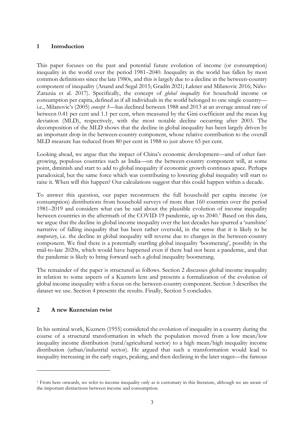# **1 Introduction**

This paper focuses on the past and potential future evolution of income (or consumption) inequality in the world over the period 1981–2040. Inequality in the world has fallen by most common definitions since the late 1980s, and this is largely due to a decline in the between-country component of inequality (Anand and Segal 2015; Gradín 2021; Lakner and Milanovic 2016; Niño-Zarazúa et al. 2017). Specifically, the concept of *global inequality* for household income or consumption per capita, defined as if all individuals in the world belonged to one single country i.e., Milanovic's (2005) *concept 3*—has declined between 1988 and 2013 at an average annual rate of between 0.41 per cent and 1.1 per cent, when measured by the Gini coefficient and the mean log deviation (MLD), respectively, with the most notable decline occurring after 2003. The decomposition of the MLD shows that the decline in global inequality has been largely driven by an important drop in the between-country component, whose relative contribution to the overall MLD measure has reduced from 80 per cent in 1988 to just above 65 per cent.

Looking ahead, we argue that the impact of China's economic development—and of other fastgrowing, populous countries such as India—on the between-country component will, at some point, diminish and start to add to global inequality if economic growth continues apace. Perhaps paradoxical, but the same force which was contributing to lowering global inequality will start to raise it. When will this happen? Our calculations suggest that this could happen within a decade.

To answer this question, our paper reconstructs the full household per capita income (or consumption) distributions from household surveys of more than 160 countries over the period 1981–2019 and considers what can be said about the plausible evolution of income inequality between countries in the aftermath of the COVID-[1](#page-2-0)9 pandemic, up to 2040.<sup>1</sup> Based on this data, we argue that the decline in global income inequality over the last decades has spurred a 'sunshine' narrative of falling inequality that has been rather oversold, in the sense that it is likely to be *temporary*, i.e. the decline in global inequality will reverse due to changes in the between-country component. We find there is a potentially startling global inequality 'boomerang', possibly in the mid-to-late 2020s, which would have happened even if there had not been a pandemic, and that the pandemic is likely to bring forward such a global inequality boomerang.

The remainder of the paper is structured as follows. Section 2 discusses global income inequality in relation to some aspects of a Kuznets lens and presents a formalization of the evolution of global income inequality with a focus on the between-country component. Section 3 describes the dataset we use. Section 4 presents the results. Finally, Section 5 concludes.

# **2 A new Kuznetsian twist**

In his seminal work, Kuznets (1955) considered the evolution of inequality in a country during the course of a structural transformation in which the population moved from a low mean/low inequality income distribution (rural/agricultural sector) to a high mean/high inequality income distribution (urban/industrial sector). He argued that such a transformation would lead to inequality increasing in the early stages, peaking, and then declining in the later stages—the famous

<span id="page-2-0"></span><sup>1</sup> From here onwards, we refer to income inequality only as is customary in this literature, although we are aware of the important distinctions between income and consumption.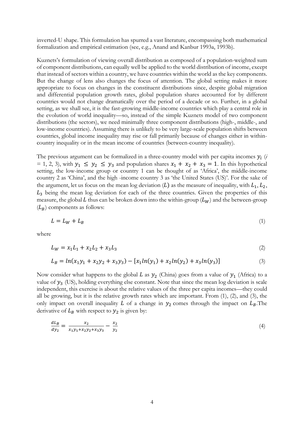inverted-U shape. This formulation has spurred a vast literature, encompassing both mathematical formalization and empirical estimation (see, e.g., Anand and Kanbur 1993a, 1993b).

Kuznets's formulation of viewing overall distribution as composed of a population-weighted sum of component distributions, can equally well be applied to the world distribution of income, except that instead of sectors within a country, we have countries within the world as the key components. But the change of lens also changes the focus of attention. The global setting makes it more appropriate to focus on changes in the constituent distributions since, despite global migration and differential population growth rates, global population shares accounted for by different countries would not change dramatically over the period of a decade or so. Further, in a global setting, as we shall see, it is the fast-growing middle-income countries which play a central role in the evolution of world inequality—so, instead of the simple Kuznets model of two component distributions (the sectors), we need minimally three component distributions (high-, middle-, and low-income countries). Assuming there is unlikely to be very large-scale population shifts between countries, global income inequality may rise or fall primarily because of changes either in withincountry inequality or in the mean income of countries (between-country inequality).

The previous argument can be formalized in a three-country model with per capita incomes  $y_i$  ( $i$ = 1, 2, 3), with  $y_1 \le y_2 \le y_3$  and population shares  $x_1 + x_2 + x_3 = 1$ . In this hypothetical setting, the low-income group or country 1 can be thought of as 'Africa', the middle-income country 2 as 'China', and the high -income country 3 as 'the United States (US)'. For the sake of the argument, let us focus on the mean log deviation  $(L)$  as the measure of inequality, with  $L_1, L_2$ ,  $L<sub>3</sub>$  being the mean log deviation for each of the three countries. Given the properties of this measure, the global L thus can be broken down into the within-group  $(L_W)$  and the between-group  $(L_B)$  components as follows:

$$
L = L_W + L_B \tag{1}
$$

where

$$
L_W = x_1 L_1 + x_2 L_2 + x_3 L_3 \tag{2}
$$

$$
L_B = \ln(x_1y_1 + x_2y_2 + x_3y_3) - [x_1\ln(y_1) + x_2\ln(y_2) + x_3\ln(y_3)]\tag{3}
$$

Now consider what happens to the global L as  $y_2$  (China) goes from a value of  $y_1$  (Africa) to a value of  $y_3$  (US), holding everything else constant. Note that since the mean log deviation is scale independent, this exercise is about the relative values of the three per capita incomes—they could all be growing, but it is the relative growth rates which are important. From (1), (2), and (3), the only impact on overall inequality  $L$  of a change in  $y_2$  comes through the impact on  $L_B$ . The derivative of  $L_B$  with respect to  $y_2$  is given by:

$$
\frac{dL_B}{dy_2} = \frac{x_2}{x_1y_1 + x_2y_2 + x_3y_3} - \frac{x_2}{y_2}
$$
\n(4)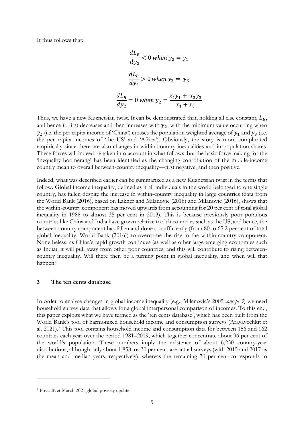It thus follows that:

$$
\frac{dL_B}{dy_2} < 0 \text{ when } y_2 = y_1
$$
\n
$$
\frac{dL_B}{dy_2} > 0 \text{ when } y_2 = y_3
$$
\n
$$
\frac{dL_B}{dy_2} = 0 \text{ when } y_2 = \frac{x_1y_1 + x_3y_3}{x_1 + x_3}
$$

Thus, we have a new Kuznetsian twist. It can be demonstrated that, holding all else constant,  $L_B$ , and hence  $L$ , first decreases and then increases with  $y_2$ , with the minimum value occurring when  $y_2$  (i.e. the per capita income of 'China') crosses the population weighted average of  $y_1$  and  $y_3$  (i.e. the per capita incomes of 'the US' and 'Africa'). Obviously, the story is more complicated empirically since there are also changes in within-country inequalities and in population shares. These forces will indeed be taken into account in what follows, but the basic force making for the 'inequality boomerang' has been identified as the changing contribution of the middle-income country mean to overall between-country inequality—first negative, and then positive.

Indeed, what was described earlier can be summarized as a new Kuznetsian twist in the terms that follow. Global income inequality, defined as if all individuals in the world belonged to one single country, has fallen despite the increase in within-country inequality in large countries (data from the World Bank (2016), based on Lakner and Milanovic (2016) and Milanovic (2016), shows that the within-country component has moved upwards from accounting for 20 per cent of total global inequality in 1988 to almost 35 per cent in 2013). This is because previously poor populous countries like China and India have grown relative to rich countries such as the US, and hence, the between-country component has fallen and done so sufficiently (from 80 to 65.2 per cent of total global inequality, World Bank (2016)) to overcome the rise in the within-country component. Nonetheless, as China's rapid growth continues (as well as other large emerging economies such as India), it will pull away from other poor countries, and this will contribute to rising betweencountry inequality. Will there then be a turning point in global inequality, and when will that happen?

### **3 The ten cents database**

In order to analyse changes in global income inequality (e.g., Milanovic's 2005 *concept 3*) we need household survey data that allows for a global interpersonal comparison of incomes. To this end, this paper exploits what we have termed as the 'ten cents database', which has been built from the World Bank's tool of harmonized household income and consumption surveys (Arayavechkit et al. 2021). [2](#page-4-0) This tool contains household income and consumption data for between 156 and 162 countries each year over the period 1981–2019, which together concentrate about 96 per cent of the world's population. These numbers imply the existence of about 6,230 country-year distributions, although only about 1,858, or 30 per cent, are actual surveys (with 2015 and 2017 as the mean and median years, respectively), whereas the remaining 70 per cent corresponds to

<span id="page-4-0"></span><sup>2</sup> PovcalNet March 2021 global poverty update.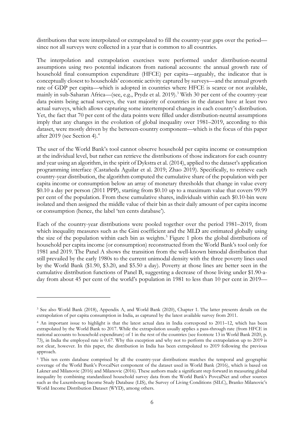distributions that were interpolated or extrapolated to fill the country-year gaps over the period since not all surveys were collected in a year that is common to all countries.

The interpolation and extrapolation exercises were performed under distribution-neutral assumptions using two potential indicators from national accounts: the annual growth rate of household final consumption expenditure (HFCE) per capita—arguably, the indicator that is conceptually closest to households' economic activity captured by surveys—and the annual growth rate of GDP per capita—which is adopted in countries where HFCE is scarce or not available, mainly in sub-Saharan Africa—(see, e.g., Prydz et al. 2019). [3](#page-5-0) With 30 per cent of the country-year data points being actual surveys, the vast majority of countries in the dataset have at least two actual surveys, which allows capturing some intertemporal changes in each country's distribution. Yet, the fact that 70 per cent of the data points were filled under distribution-neutral assumptions imply that any changes in the evolution of global inequality over 1981–2019, according to this dataset, were mostly driven by the between-country component—which is the focus of this paper after 2019 (see Section 4).[4](#page-5-1)

The user of the World Bank's tool cannot observe household per capita income or consumption at the individual level, but rather can retrieve the distributions of those indicators for each country and year using an algorithm, in the spirit of Dykstra et al. (2014), applied to the dataset's application programming interface (Castañeda Aguilar et al. 2019; Zhao 2019). Specifically, to retrieve each country-year distribution, the algorithm computed the cumulative share of the population with per capita income or consumption below an array of monetary thresholds that change in value every \$0.10 a day per person (2011 PPP), starting from \$0.10 up to a maximum value that covers 99.99 per cent of the population. From these cumulative shares, individuals within each \$0.10-bin were isolated and then assigned the middle value of their bin as their daily amount of per capita income or consumption (hence, the label 'ten cents database').

Each of the country-year distributions were pooled together over the period 1981–2019, from which inequality measures such as the Gini coefficient and the MLD are estimated globally using the size of the population within each bin as weights.<sup>[5](#page-5-2)</sup> Figure 1 plots the global distributions of household per capita income (or consumption) reconstructed from the World Bank's tool only for 1981 and 2019. The Panel A shows the transition from the well-known bimodal distribution that still prevailed by the early 1980s to the current unimodal density with the three poverty lines used by the World Bank (\$1.90, \$3.20, and \$5.50 a day). Poverty at those lines are better seen in the cumulative distribution functions of Panel B, suggesting a decrease of those living under \$1.90-aday from about 45 per cent of the world's population in 1981 to less than 10 per cent in 2019—

<span id="page-5-0"></span><sup>3</sup> See also World Bank (2018), Appendix A, and World Bank (2020), Chapter 1. The latter presents details on the extrapolation of per capita consumption in India, as captured by the latest available survey from 2011.

<span id="page-5-1"></span><sup>4</sup> An important issue to highlight is that the latest actual data in India correspond to 2011–12, which has been extrapolated by the World Bank to 2017. While the extrapolation usually applies a pass-through rate (from HFCE in national accounts to household expenditure) of 1 in the rest of the countries (see footnote 13 in World Bank 2020, p. 73), in India the employed rate is 0.67. Why this exception and why not to perform the extrapolation up to 2019 is not clear, however. In this paper, the distribution in India has been extrapolated to 2019 following the previous approach.

<span id="page-5-2"></span><sup>&</sup>lt;sup>5</sup> This ten cents database comprised by all the country-year distributions matches the temporal and geographic coverage of the World Bank's PovcalNet component of the dataset used in World Bank (2016), which is based on Lakner and Milanovic (2016) and Milanovic (2016). These authors made a significant step forward in measuring global inequality by combining standardized household survey data from the World Bank's PovcalNet and other sources such as the Luxembourg Income Study Database (LIS), the Survey of Living Conditions (SILC), Branko Milanovic's World Income Distribution Dataset (WYD), among others.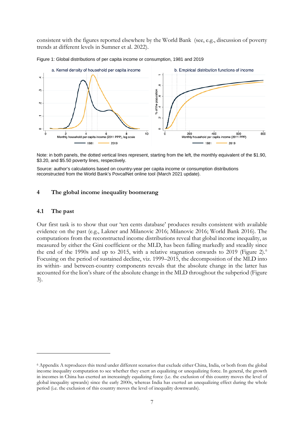consistent with the figures reported elsewhere by the World Bank (see, e.g., discussion of poverty trends at different levels in Sumner et al. 2022).



Figure 1: Global distributions of per capita income or consumption, 1981 and 2019

Note: in both panels, the dotted vertical lines represent, starting from the left, the monthly equivalent of the \$1.90, \$3.20, and \$5.50 poverty lines, respectively.

Source: author's calculations based on country-year per capita income or consumption distributions reconstructed from the World Bank's PovcalNet online tool (March 2021 update).

### **4 The global income inequality boomerang**

#### **4.1 The past**

Our first task is to show that our 'ten cents database' produces results consistent with available evidence on the past (e.g., Lakner and Milanovic 2016; Milanovic 2016; World Bank 2016). The computations from the reconstructed income distributions reveal that global income inequality, as measured by either the Gini coefficient or the MLD, has been falling markedly and steadily since the end of the 1990s and up to 2015, with a relative stagnation onwards to 2019 (Figure 2).<sup>[6](#page-6-0)</sup> Focusing on the period of sustained decline, viz. 1999–2015, the decomposition of the MLD into its within- and between-country components reveals that the absolute change in the latter has accounted for the lion's share of the absolute change in the MLD throughout the subperiod (Figure 3).

<span id="page-6-0"></span><sup>6</sup> Appendix A reproduces this trend under different scenarios that exclude either China, India, or both from the global income inequality computation to see whether they exert an equalizing or unequalizing force. In general, the growth in incomes in China has exerted an increasingly equalizing force (i.e. the exclusion of this country moves the level of global inequality upwards) since the early 2000s, whereas India has exerted an unequalizing effect during the whole period (i.e. the exclusion of this country moves the level of inequality downwards).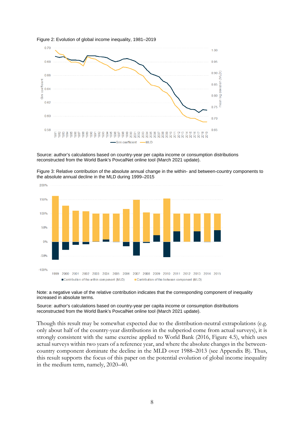



Source: author's calculations based on country-year per capita income or consumption distributions reconstructed from the World Bank's PovcalNet online tool (March 2021 update).



Figure 3: Relative contribution of the absolute annual change in the within- and between-country components to the absolute annual decline in the MLD during 1999–2015

#### Note: a negative value of the relative contribution indicates that the corresponding component of inequality increased in absolute terms.

Source: author's calculations based on country-year per capita income or consumption distributions reconstructed from the World Bank's PovcalNet online tool (March 2021 update).

Though this result may be somewhat expected due to the distribution-neutral extrapolations (e.g. only about half of the country-year distributions in the subperiod come from actual surveys), it is strongly consistent with the same exercise applied to World Bank (2016, Figure 4.5), which uses actual surveys within two years of a reference year, and where the absolute changes in the betweencountry component dominate the decline in the MLD over 1988–2013 (see Appendix B). Thus, this result supports the focus of this paper on the potential evolution of global income inequality in the medium term, namely, 2020–40.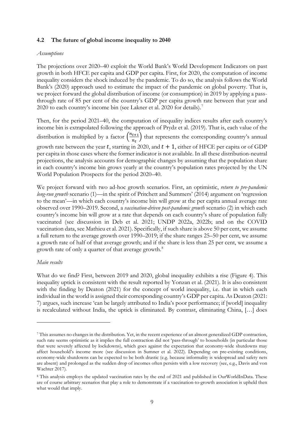# **4.2 The future of global income inequality to 2040**

#### *Assumptions*

The projections over 2020–40 exploit the World Bank's World Development Indicators on past growth in both HFCE per capita and GDP per capita. First, for 2020, the computation of income inequality considers the shock induced by the pandemic. To do so, the analysis follows the World Bank's (2020) approach used to estimate the impact of the pandemic on global poverty. That is, we project forward the global distribution of income (or consumption) in 2019 by applying a passthrough rate of 85 per cent of the country's GDP per capita growth rate between that year and 2020 to each country's income bin (see Lakner et al. 2020 for details).<sup>[7](#page-8-0)</sup>

Then, for the period 2021–40, the computation of inequality indices results after each country's income bin is extrapolated following the approach of Prydz et al. (2019). That is, each value of the distribution is multiplied by a factor  $\left(\frac{n_{t+1}}{n_t}\right)$  $\left(\frac{t+1}{n_t}\right)$  that represents the corresponding country's annual growth rate between the year t, starting in 2020, and  $t + 1$ , either of HFCE per capita or of GDP per capita in those cases where the former indicator is not available. In all these distribution-neutral projections, the analysis accounts for demographic changes by assuming that the population share in each country's income bin grows yearly at the country's population rates projected by the UN World Population Prospects for the period 2020–40.

We project forward with two ad-hoc growth scenarios. First, an optimistic, *return to pre-pandemic long-run growth* scenario (1)—in the spirit of Pritchett and Summers' (2014) argument on 'regression to the mean'—in which each country's income bin will grow at the per capita annual average rate observed over 1990–2019. Second, a *vaccination-driven post-pandemic growth* scenario (2) in which each country's income bin will grow at a rate that depends on each country's share of population fully vaccinated (see discussion in Deb et al. 2021; UNDP 2022a, 2022b; and on the COVID vaccination data, see Mathieu et al. 2021). Specifically, if such share is above 50 per cent, we assume a full return to the average growth over 1990–2019; if the share ranges 25–50 per cent, we assume a growth rate of half of that average growth; and if the share is less than 25 per cent, we assume a growth rate of only a quarter of that average growth.<sup>[8](#page-8-1)</sup>

#### *Main results*

What do we find? First, between 2019 and 2020, global inequality exhibits a rise (Figure 4). This inequality uptick is consistent with the result reported by Yonzan et al. (2021). It is also consistent with the finding by Deaton (2021) for the concept of world inequality, i.e. that in which each individual in the world is assigned their corresponding country's GDP per capita. As Deaton (2021: 7) argues, such increase 'can be largely attributed to India's poor performance; if [world] inequality is recalculated without India, the uptick is eliminated. By contrast, eliminating China, […] does

<span id="page-8-0"></span><sup>7</sup> This assumes no changes in the distribution. Yet, in the recent experience of an almost generalized GDP contraction, such rate seems optimistic as it implies the full contraction did not 'pass-through' to households (in particular those that were severely affected by lockdowns), which goes against the expectation that economy-wide shutdowns may affect household's income more (see discussion in Sumner et al. 2022). Depending on pre-existing conditions, economy-wide shutdowns can be expected to be both drastic (e.g. because informality is widespread and safety nets are absent) and prolonged as the sudden drop of incomes often persists with a low recovery (see, e.g., Davis and von Wachter 2017).

<span id="page-8-1"></span><sup>8</sup> This analysis employs the updated vaccination rates by the end of 2021 and published in [OurWorldInData.](https://ourworldindata.org/covid-vaccinations) These are of course arbitrary scenarios that play a role to demonstrate if a vaccination-to-growth association is upheld then what would that imply.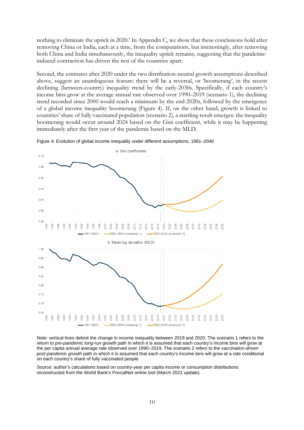nothing to eliminate the uptick in 2020.' In Appendix C, we show that these conclusions hold after removing China or India, each at a time, from the computations, but interestingly, after removing both China and India simultaneously, the inequality uptick remains, suggesting that the pandemicinduced contraction has driven the rest of the countries apart.

Second, the estimates after 2020 under the two distribution-neutral growth assumptions described above, suggest an unambiguous feature: there will be a reversal, or 'boomerang', in the recent declining (between-country) inequality trend by the early-2030s. Specifically, if each country's income bins grow at the average annual rate observed over 1990–2019 (scenario 1), the declining trend recorded since 2000 would reach a minimum by the end-2020s, followed by the emergence of a global income inequality boomerang (Figure 4). If, on the other hand, growth is linked to countries' share of fully vaccinated population (scenario 2), a startling result emerges: the inequality boomerang would occur around 2024 based on the Gini coefficient, while it may be happening immediately after the first year of the pandemic based on the MLD.



Figure 4: Evolution of global income inequality under different assumptions, 1981–2040

Note*:* vertical lines delimit the change in income inequality between 2019 and 2020. The scenario 1 refers to the *return to pre-pandemic long-run growth* path in which it is assumed that each country's income bins will grow at the per capita annual average rate observed over 1990–2019. The scenario 2 refers to the *vaccination-driven post-pandemic growth* path in which it is assumed that each country's income bins will grow at a rate conditional on each country's share of fully vaccinated people.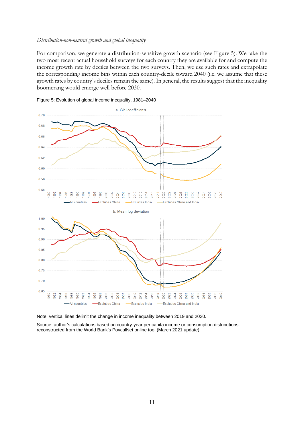### *Distribution-non-neutral growth and global inequality*

For comparison, we generate a distribution-sensitive growth scenario (see Figure 5). We take the two most recent actual household surveys for each country they are available for and compute the income growth rate by deciles between the two surveys. Then, we use such rates and extrapolate the corresponding income bins within each country-decile toward 2040 (i.e. we assume that these growth rates by country's deciles remain the same). In general, the results suggest that the inequality boomerang would emerge well before 2030.





Note: vertical lines delimit the change in income inequality between 2019 and 2020.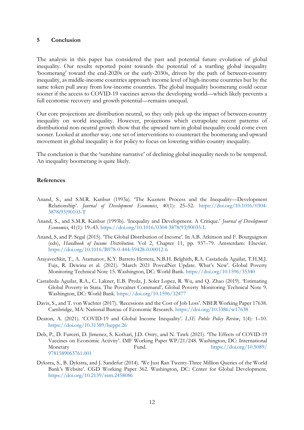#### **5 Conclusion**

The analysis in this paper has considered the past and potential future evolution of global inequality. Our results reported point towards the potential of a startling global inequality 'boomerang' toward the end-2020s or the early-2030s, driven by the path of between-country inequality, as middle-income countries approach income level of high-income countries but by the same token pull away from low-income countries. The global inequality boomerang could occur sooner if the access to COVID-19 vaccines across the developing world—which likely prevents a full economic recovery and growth potential—remains unequal.

Our core projections are distribution neutral, so they only pick up the impact of between-country inequality on world inequality. However, projections which extrapolate recent patterns of distributional non-neutral growth show that the upward turn in global inequality could come even sooner. Looked at another way, one set of interventions to counteract the boomerang and upward movement in global inequality is for policy to focus on lowering within-country inequality.

The conclusion is that the 'sunshine narrative' of declining global inequality needs to be tempered. An inequality boomerang is quite likely.

#### **References**

- Anand, S., and S.M.R. Kanbur (1993a). 'The Kuznets Process and the Inequality—Development Relationship'. *Journal of Development Economics*, 40(1): 25–52. [https://doi.org/10.1016/0304-](https://doi.org/10.1016/0304-3878(93)90103-T) [3878\(93\)90103-T](https://doi.org/10.1016/0304-3878(93)90103-T)
- Anand, S., and S.M.R. Kanbur (1993b). 'Inequality and Development. A Critique.' *Journal of Development Economics*, 41(1): 19–43. [https://doi.org/10.1016/0304-3878\(93\)90035-L](https://doi.org/10.1016/0304-3878(93)90035-L)
- Anand, S, and P. Segal (2015). 'The Global Distribution of Income'. In A.B. Atkinson and F. Bourguignon (eds), *Handbook of Income Distribution*. Vol 2, Chapter 11, pp. 937–79. Amsterdam: Elsevier. <https://doi.org/10.1016/B978-0-444-59428-0.00012-6>
- Arayavechkit, T., A. Atamanov, K.Y. Barreto Herrera, N.B.H. Belghith, R.A. Castañeda Aguilar, T.H.M.J. Fujs, R. Dewina et al. (2021). 'March 2021 PovcalNet Update. What's New'. Global Poverty Monitoring Technical Note 15. Washington, DC: World Bank.<https://doi.org/10.1596/35340>
- Castañeda Aguilar, R.A., C. Lakner, E.B. Prydz, J. Soler Lopez, R. Wu, and Q. Zhao (2019). 'Estimating Global Poverty in Stata. The Povcalnet Command'. Global Poverty Monitoring Technical Note 9. Washington, DC: World Bank.<https://doi.org/10.1596/32477>
- Davis, S., and T. von Wachter (2017). 'Recessions and the Cost of Job Loss'. NBER Working Paper 17638. Cambridge, MA: National Bureau of Economic Research. <https://doi.org/10.3386/w17638>
- Deaton, A. (2021). 'COVID-19 and Global Income Inequality'. *LSE Public Policy Review*, 1(4): 1–10. <https://doi.org/10.31389/lseppr.26>
- Deb, P., D. Furceri, D. Jimenez, S. Kothari, J.D. Ostry, and N. Tawk (2021). 'The Effects of COVID-19 Vaccines on Economic Activity'. IMF Working Paper WP/21/248. Washington, DC: International Monetary Fund. Fund. [https://doi.org/10.5089/](https://doi.org/10.5089/9781589063761.001) [9781589063761.001](https://doi.org/10.5089/9781589063761.001)
- Dykstra, S., B. Dykstra, and J. Sandefur (2014). 'We Just Ran Twenty-Three Million Queries of the World Bank's Website'. CGD Working Paper 362. Washington, DC: Center for Global Development. <https://doi.org/10.2139/ssrn.2458086>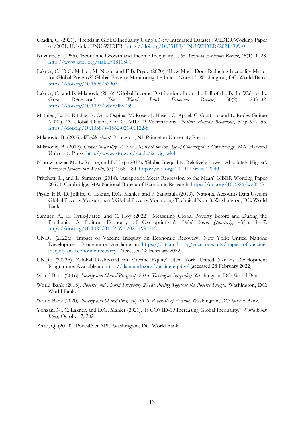- Gradín, C. (2021). 'Trends in Global Inequality Using a New Integrated Dataset'. WIDER Working Paper 61/2021. Helsinki: UNU-WIDER. <https://doi.org/10.35188/UNU-WIDER/2021/999-0>
- Kuznets, S. (1955). 'Economic Growth and Income Inequality'. *The American Economic Review*, 45(1): 1–28. <http://www.jstor.org/stable/1811581>
- Lakner, C., D.G. Mahler, M. Negre, and E.B. Prydz (2020). 'How Much Does Reducing Inequality Matter for Global Poverty?' Global Poverty Monitoring Technical Note 13. Washington, DC: World Bank. <https://doi.org/10.1596/33902>
- Lakner, C., and B. Milanovic (2016). 'Global Income Distribution: From the Fall of the Berlin Wall to the Great Recession'. *The World Bank Economic Review*, 30(2): 203–32. <https://doi.org/10.1093/wber/lhv039>
- Mathieu, E., H. Ritchie, E. Ortiz-Ospina, M. Roser, J. Hasell, C. Appel, C. Giattino, and L. Rodés-Guirao (2021). 'A Global Database of COVID-19 Vaccinations'. *Nature Human Behaviour*, 5(7): 947–53. <https://doi.org/10.1038/s41562-021-01122-8>
- Milanovic, B. (2005). *Worlds Apart*. Princeton, NJ: Princeton University Press.
- Milanovic, B. (2016). *Global Inequality. A New Approach for the Age of Globalization*. Cambridge, MA: Harvard University Press.<http://www.jstor.org/stable/j.ctvjghwk4>
- Niño-Zarazúa, M., L. Roope, and F. Tarp (2017). 'Global Inequality: Relatively Lower, Absolutely Higher'. *Review of Income and Wealth*, 63(4): 661–84. <https://doi.org/10.1111/roiw.12240>
- Pritchett, L., and L. Summers (2014). 'Asiaphoria Meets Regression to the Mean'. NBER Working Paper 20573. Cambridge, MA: National Bureau of Economic Research. <https://doi.org/10.3386/w20573>
- Prydz, E.B., D. Jolliffe, C. Lakner, D.G. Mahler, and P. Sangraula (2019). 'National Accounts Data Used in Global Poverty Measurement'. Global Poverty Monitoring Technical Note 8. Washington, DC: World Bank.
- Sumner, A., E. Ortiz-Juarez, and C. Hoy (2022). 'Measuring Global Poverty Before and During the Pandemic: A Political Economy of Overoptimism'. *Third World Quarterly*, 43(1): 1–17. <https://doi.org/10.1080/01436597.2021.1995712>
- UNDP (2022a). 'Impact of Vaccine Inequity on Economic Recovery'. New York: United Nations Development Programme. Available at: [https://data.undp.org/vaccine-equity/impact-of-vaccine](https://data.undp.org/vaccine-equity/impact-of-vaccine-inequity-on-economic-recovery/)[inequity-on-economic-recovery/](https://data.undp.org/vaccine-equity/impact-of-vaccine-inequity-on-economic-recovery/) (accessed 28 February 2022).
- UNDP (2022b). 'Global Dashboard for Vaccine Equity'. New York: United Nations Development Programme. Available at: <https://data.undp.org/vaccine-equity/> (accessed 28 February 2022).
- World Bank (2016). *Poverty and Shared Prosperity 2016: Taking on Inequality*. Washington, DC: World Bank.
- World Bank (2018). *Poverty and Shared Prosperity 2018: Piecing Together the Poverty Puzzle.* Washington, DC: World Bank.
- World Bank (2020). *Poverty and Shared Prosperity 2020: Reversals of Fortune*. Washington, DC: World Bank.
- Yonzan, N., C. Lakner, and D.G. Mahler (2021). 'Is COVID-19 Increasing Global Inequality?' *World Bank Blogs*, October 7, 2021.
- Zhao, Q. (2019). 'PovcalNet API.' Washington, DC: World Bank.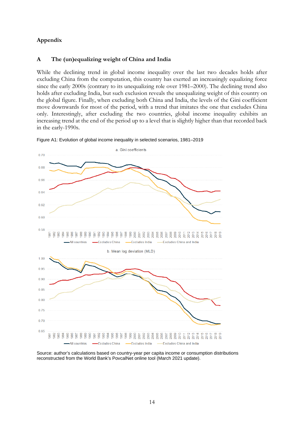# **Appendix**

# **A The (un)equalizing weight of China and India**

While the declining trend in global income inequality over the last two decades holds after excluding China from the computation, this country has exerted an increasingly equalizing force since the early 2000s (contrary to its unequalizing role over 1981–2000). The declining trend also holds after excluding India, but such exclusion reveals the unequalizing weight of this country on the global figure. Finally, when excluding both China and India, the levels of the Gini coefficient move downwards for most of the period, with a trend that imitates the one that excludes China only. Interestingly, after excluding the two countries, global income inequality exhibits an increasing trend at the end of the period up to a level that is slightly higher than that recorded back in the early-1990s.



Figure A1: Evolution of global income inequality in selected scenarios, 1981–2019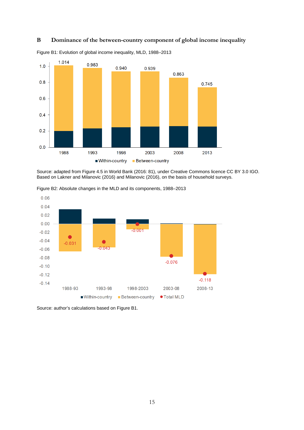## **B Dominance of the between-country component of global income inequality**



Figure B1: Evolution of global income inequality, MLD, 1988–2013

Source: adapted from Figure 4.5 in World Bank (2016: 81), under Creative Commons licence CC BY 3.0 IGO. Based on Lakner and Milanovic (2016) and Milanovic (2016), on the basis of household surveys.



Figure B2: Absolute changes in the MLD and its components, 1988–2013

Source: author's calculations based on Figure B1.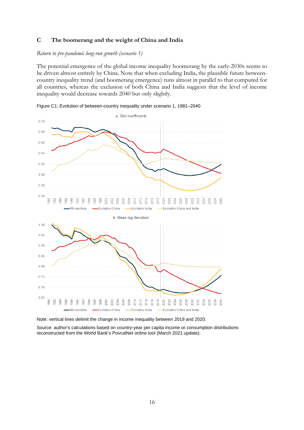## **C The boomerang and the weight of China and India**

*Return to pre-pandemic long-run growth (scenario 1)*

The potential emergence of the global income inequality boomerang by the early-2030s seems to be driven almost entirely by China. Note that when excluding India, the plausible future betweencountry inequality trend (and boomerang emergence) runs almost in parallel to that computed for all countries, whereas the exclusion of both China and India suggests that the level of income inequality would decrease towards 2040 but only slightly.



Figure C1: Evolution of between-country inequality under scenario 1, 1981–2040

Note: vertical lines delimit the change in income inequality between 2019 and 2020.